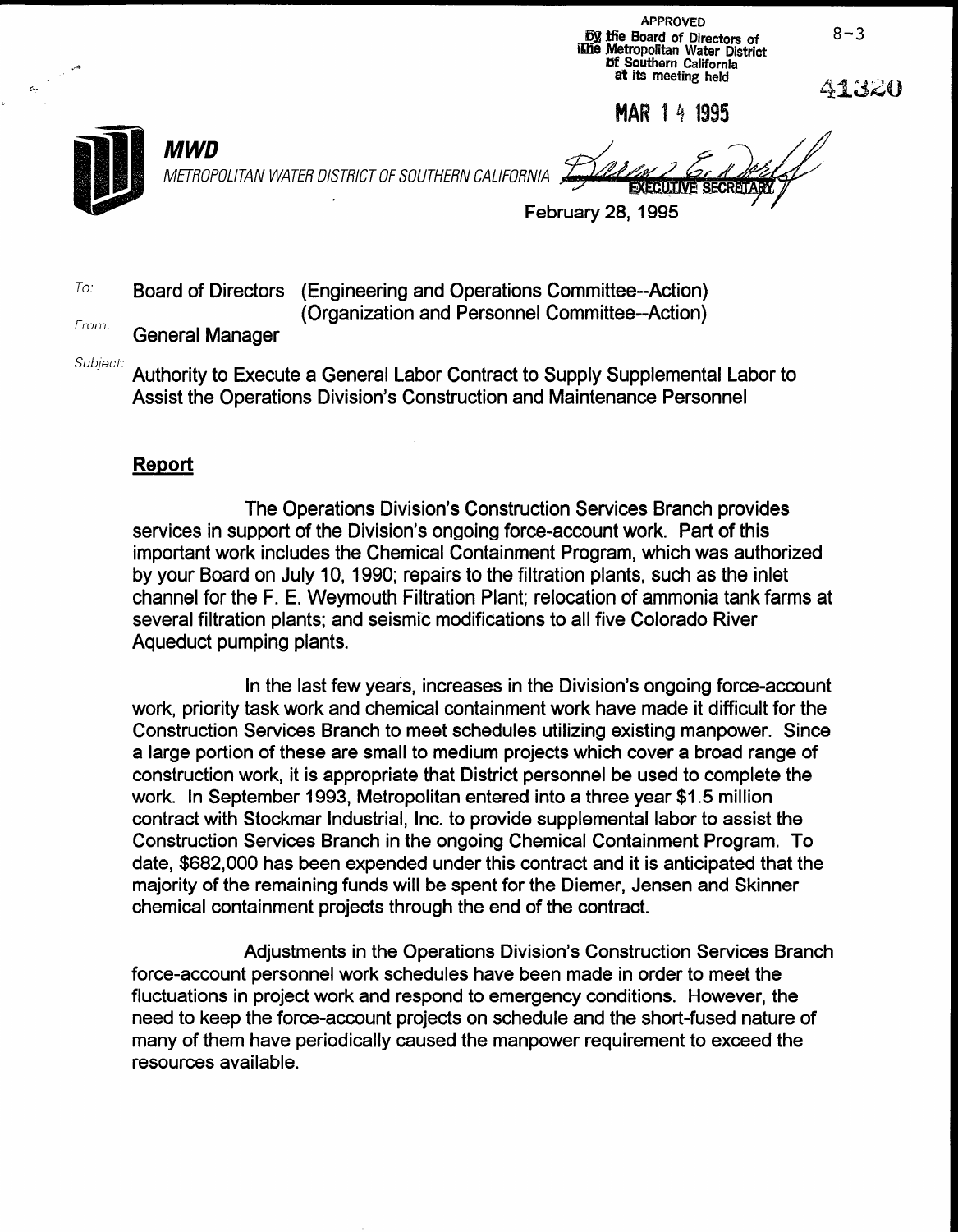APPROVED Dy the Board of Directors of i**Liie Metropolitan Water District Df Southern California** 'at its meeting held

MAR 14 1995

 $8 - 3$ 

41320



 $\sim$ 

 $\sigma_{\rm{m}}$ 

METROPOLITAN WATER DISTRICT OF SOUTHERN CALIFORNIA

February 28,1995

 $T^{\circ}$  Board of Directors (Engineering and Operations Committee--Action) (Organization and Personnel Committee--Action)

From: General Manager

MWD

Subject: Authority to Execute a General Labor Contract to Supply Supplemental Labor to Assist the Operations Division's Construction and Maintenance Personnel

### **Report**

The Operations Division's Construction Services Branch provides services in support of the Division's ongoing force-account work. Part of this important work includes the Chemical Containment Program, which was authorized by your Board on July 10, 1990; repairs to the filtration plants, such as the inlet channel for the F. E. Weymouth Filtration Plant; relocation of ammonia tank farms at several filtration plants; and seismic modifications to all five Colorado River Aqueduct pumping plants.

In the last few years, increases in the Division's ongoing force-account work, priority task work and chemical containment work have made it difficult for the Construction Services Branch to meet schedules utilizing existing manpower. Since a large portion of these are small to medium projects which cover a broad range of construction work, it is appropriate that District personnel be used to complete the work. In September 1993, Metropolitan entered into a three year \$1.5 million work. In opponion 1999, Monopolitan chief contract a three year who minion Construction Services Branch in the ongoing Chemical Containment Program. To Construction Services Branch in the ongoing Chemical Containment Program. To date, \$682,000 has been expended under this contract and it is anticipated that the majority of the remaining funds will be spent for the Diemer, Jensen and Skinner chemical containment projects through the end of the contract.

Adjustments in the Operations Division's Construction Services Branch force-account personnel work schedules have been made in order to meet the material material materials of the m<br>Account of meeting in order to meet the meeting of the meeting of the meeting of the meeting of the meeting of force-account personnel work schedules have been made in order to meet the fluctuations in project work and respond to emergency conditions. However, the need to keep the force-account projects on schedule and the short-fused nature of many of them have periodically caused the manpower requirement to exceed the resources available.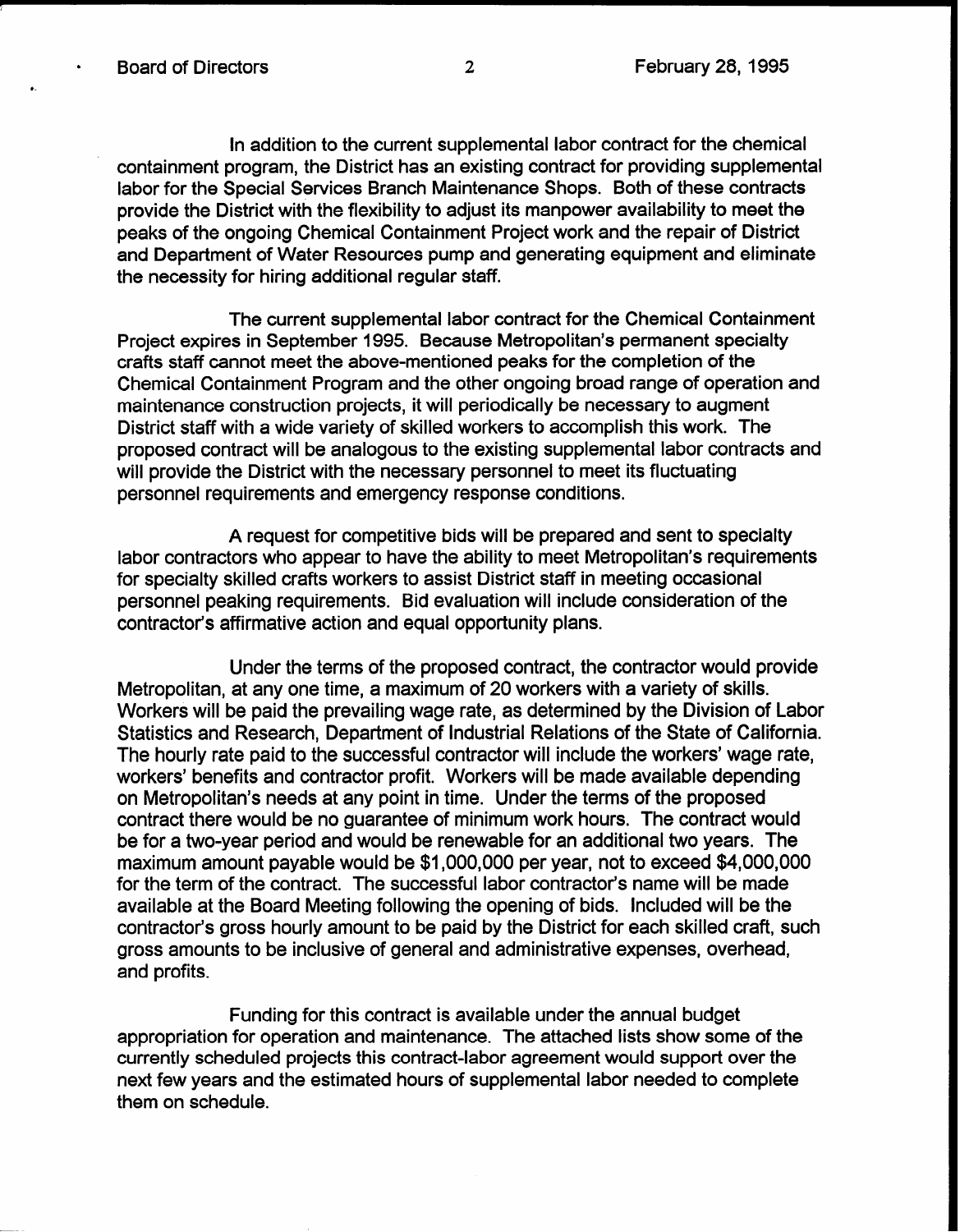'-

In addition to the current supplemental labor contract for the chemical containment program, the District has an existing contract for providing supplemental labor for the Special Services Branch Maintenance Shops. Both of these contracts provide the District with the flexibility to adjust its manpower availability to meet the peaks of the ongoing Chemical Containment Project work and the repair of District and Department of Water Resources pump and generating equipment and eliminate the necessity for hiring additional regular staff.

The current supplemental labor contract for the Chemical Containment Project expires in September 1995. Because Metropolitan's permanent specialty crafts staff cannot meet the above-mentioned peaks for the completion of the Chemical Containment Program and the other ongoing broad range of operation and maintenance construction projects, it will periodically be necessary to augment District staff with a wide variety of skilled workers to accomplish this work. The proposed contract will be analogous to the existing supplemental labor contracts and will provide the District with the necessary personnel to meet its fluctuating personnel requirements and emergency response conditions.

A request for competitive bids will be prepared and sent to specialty labor contractors who appear to have the ability to meet Metropolitan's requirements for specialty skilled crafts workers to assist District staff in meeting occasional personnel peaking requirements. Bid evaluation will include consideration of the contractor's affirmative action and equal opportunity plans.

Under the terms of the proposed contract, the contractor would provide Metropolitan, at any one time, a maximum of 20 workers with a variety of skills. Workers will be paid the prevailing wage rate, as determined by the Division of Labor Statistics and Research, Department of Industrial Relations of the State of California. The hourly rate paid to the successful contractor will include the workers' wage rate, workers' benefits and contractor profit. Workers will be made available depending on Metropolitan's needs at any point in time. Under the terms of the proposed contract there would be no guarantee of minimum work hours. The contract would be for a two-year period and would be renewable for an additional two years. The maximum amount payable would be \$1,000,000 per year, not to exceed \$4,000,000 for the term of the contract. The successful labor contractor's name will be made available at the Board Meeting following the opening of bids. Included will be the contractor's gross hourly amount to be paid by the District for each skilled craft, such gross amounts to be inclusive of general and administrative expenses, overhead, and profits.

Funding for this contract is available under the annual budget appropriation for operation and maintenance. The attached lists show some of the currently scheduled projects this contract-labor agreement would support over the next few years and the estimated hours of supplemental labor needed to complete them on schedule.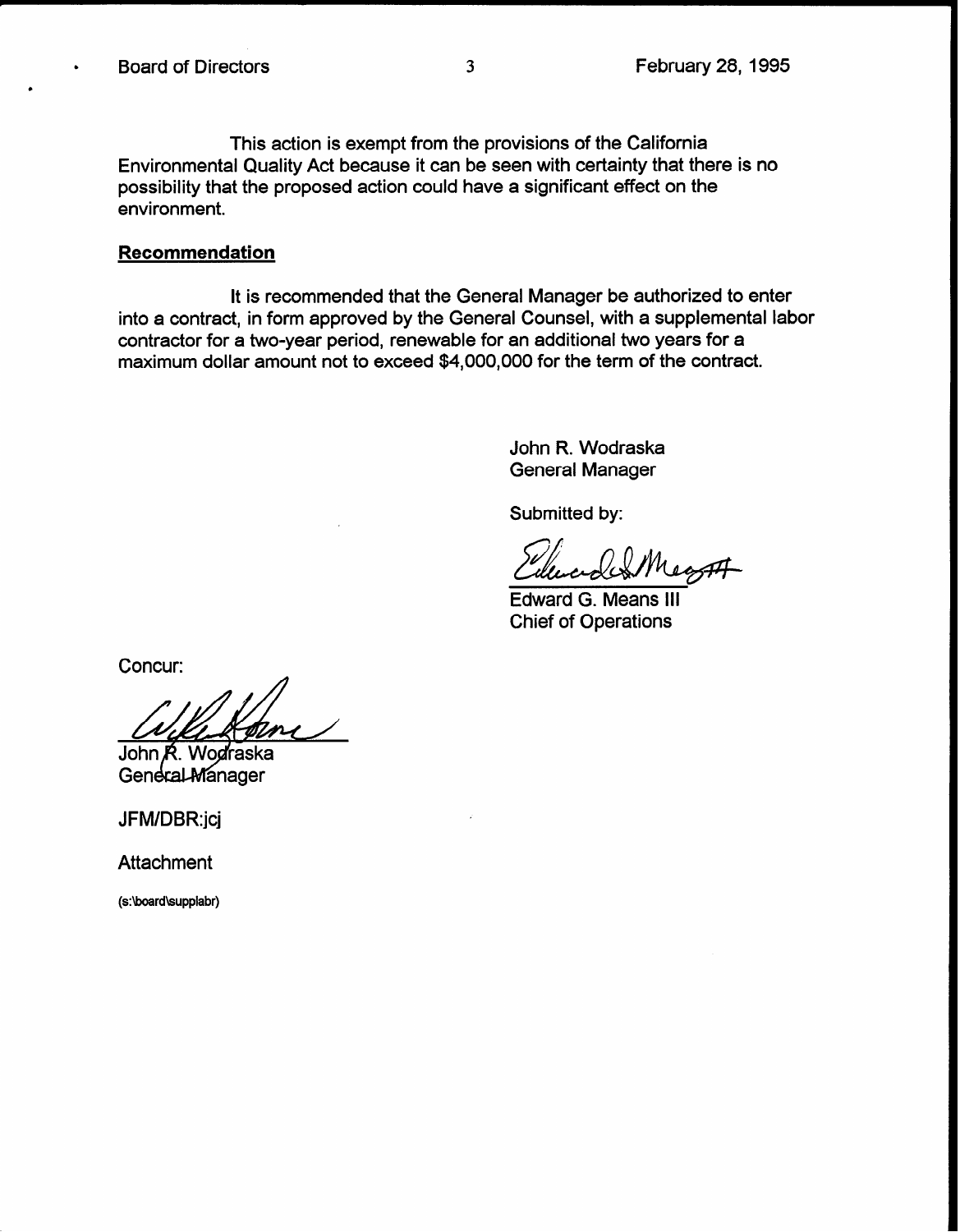.

This action is exempt from the provisions of the California Environmental Quality Act because it can be seen with certainty that there is no possibility that the proposed action could have a significant effect on the environment.

#### Recommendation

It is recommended that the General Manager be authorized to enter into a contract, in form approved by the General Counsel, with a supplemental labor contractor for a two-year period, renewable for an additional two years for a maximum dollar amount not to exceed \$4,000,000 for the term of the contract.

> John R. Wodraska General Manager

Submitted by:

Edward G. Means Ill Chief of Operations

Concur:

John R. Wodraska General Manager

JFM/DBR:jcj

**Attachment** 

(s:\board\supplabr)